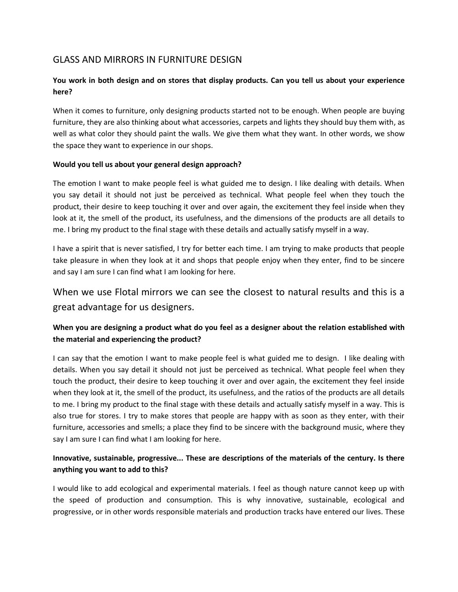# GLASS AND MIRRORS IN FURNITURE DESIGN

## **You work in both design and on stores that display products. Can you tell us about your experience here?**

When it comes to furniture, only designing products started not to be enough. When people are buying furniture, they are also thinking about what accessories, carpets and lights they should buy them with, as well as what color they should paint the walls. We give them what they want. In other words, we show the space they want to experience in our shops.

#### **Would you tell us about your general design approach?**

The emotion I want to make people feel is what guided me to design. I like dealing with details. When you say detail it should not just be perceived as technical. What people feel when they touch the product, their desire to keep touching it over and over again, the excitement they feel inside when they look at it, the smell of the product, its usefulness, and the dimensions of the products are all details to me. I bring my product to the final stage with these details and actually satisfy myself in a way.

I have a spirit that is never satisfied, I try for better each time. I am trying to make products that people take pleasure in when they look at it and shops that people enjoy when they enter, find to be sincere and say I am sure I can find what I am looking for here.

# When we use Flotal mirrors we can see the closest to natural results and this is a great advantage for us designers.

# **When you are designing a product what do you feel as a designer about the relation established with the material and experiencing the product?**

I can say that the emotion I want to make people feel is what guided me to design. I like dealing with details. When you say detail it should not just be perceived as technical. What people feel when they touch the product, their desire to keep touching it over and over again, the excitement they feel inside when they look at it, the smell of the product, its usefulness, and the ratios of the products are all details to me. I bring my product to the final stage with these details and actually satisfy myself in a way. This is also true for stores. I try to make stores that people are happy with as soon as they enter, with their furniture, accessories and smells; a place they find to be sincere with the background music, where they say I am sure I can find what I am looking for here.

#### **Innovative, sustainable, progressive... These are descriptions of the materials of the century. Is there anything you want to add to this?**

I would like to add ecological and experimental materials. I feel as though nature cannot keep up with the speed of production and consumption. This is why innovative, sustainable, ecological and progressive, or in other words responsible materials and production tracks have entered our lives. These